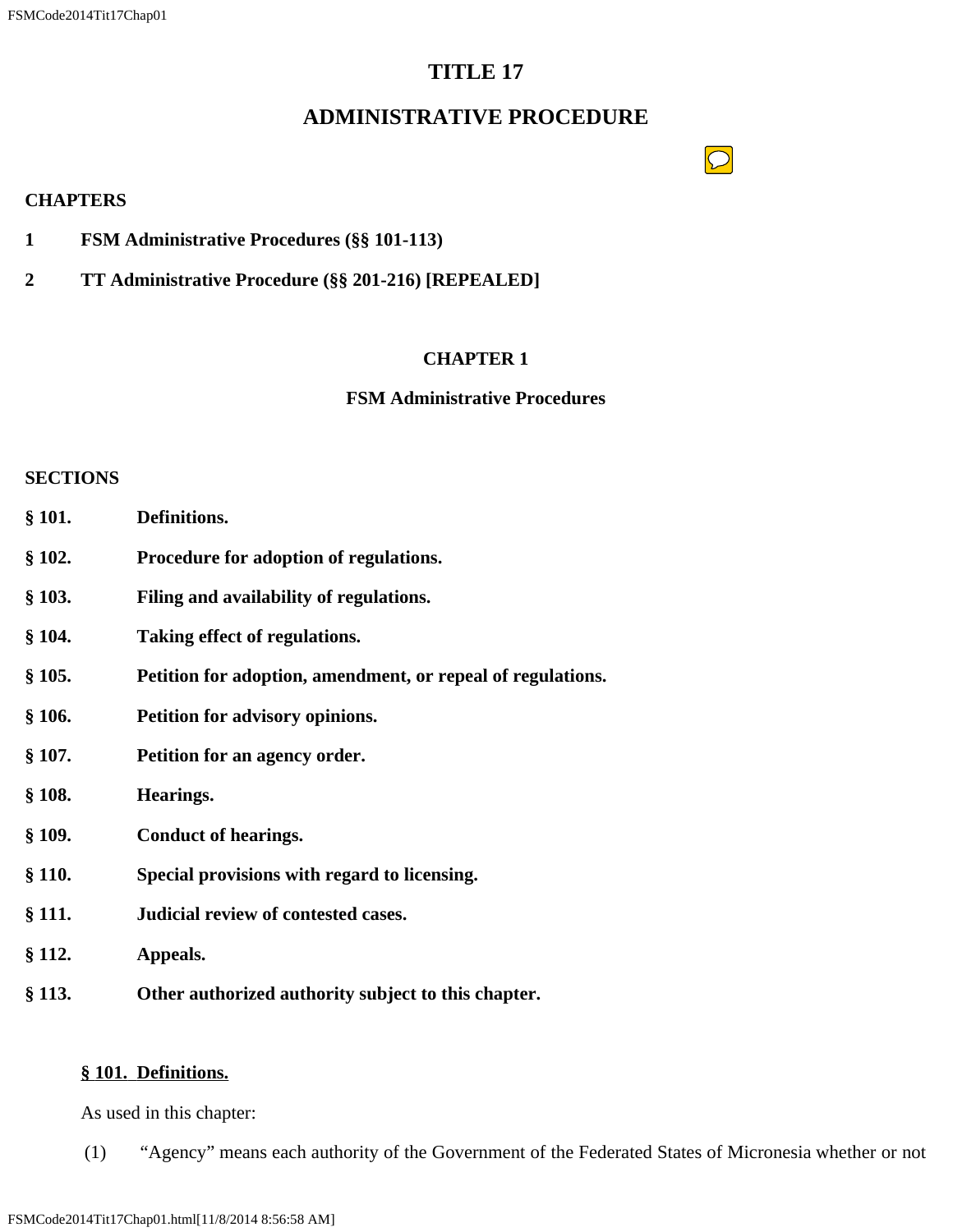# **TITLE 17**

# **ADMINISTRATIVE PROCEDURE**

# $\boxed{\bigcirc}$

### **CHAPTERS**

- **1 FSM Administrative Procedures (§§ 101-113)**
- **2 TT Administrative Procedure (§§ 201-216) [REPEALED]**

# **CHAPTER 1**

## **FSM Administrative Procedures**

### **SECTIONS**

- **§ 101. Definitions.**
- **§ 102. Procedure for adoption of regulations.**
- **§ 103. Filing and availability of regulations.**
- **§ 104. Taking effect of regulations.**
- **§ 105. Petition for adoption, amendment, or repeal of regulations.**
- **§ 106. Petition for advisory opinions.**
- **§ 107. Petition for an agency order.**
- **§ 108. Hearings.**
- **§ 109. Conduct of hearings.**
- **§ 110. Special provisions with regard to licensing.**
- **§ 111. Judicial review of contested cases.**
- **§ 112. Appeals.**
- **§ 113. Other authorized authority subject to this chapter.**

# **§ 101. Definitions.**

As used in this chapter:

(1) "Agency" means each authority of the Government of the Federated States of Micronesia whether or not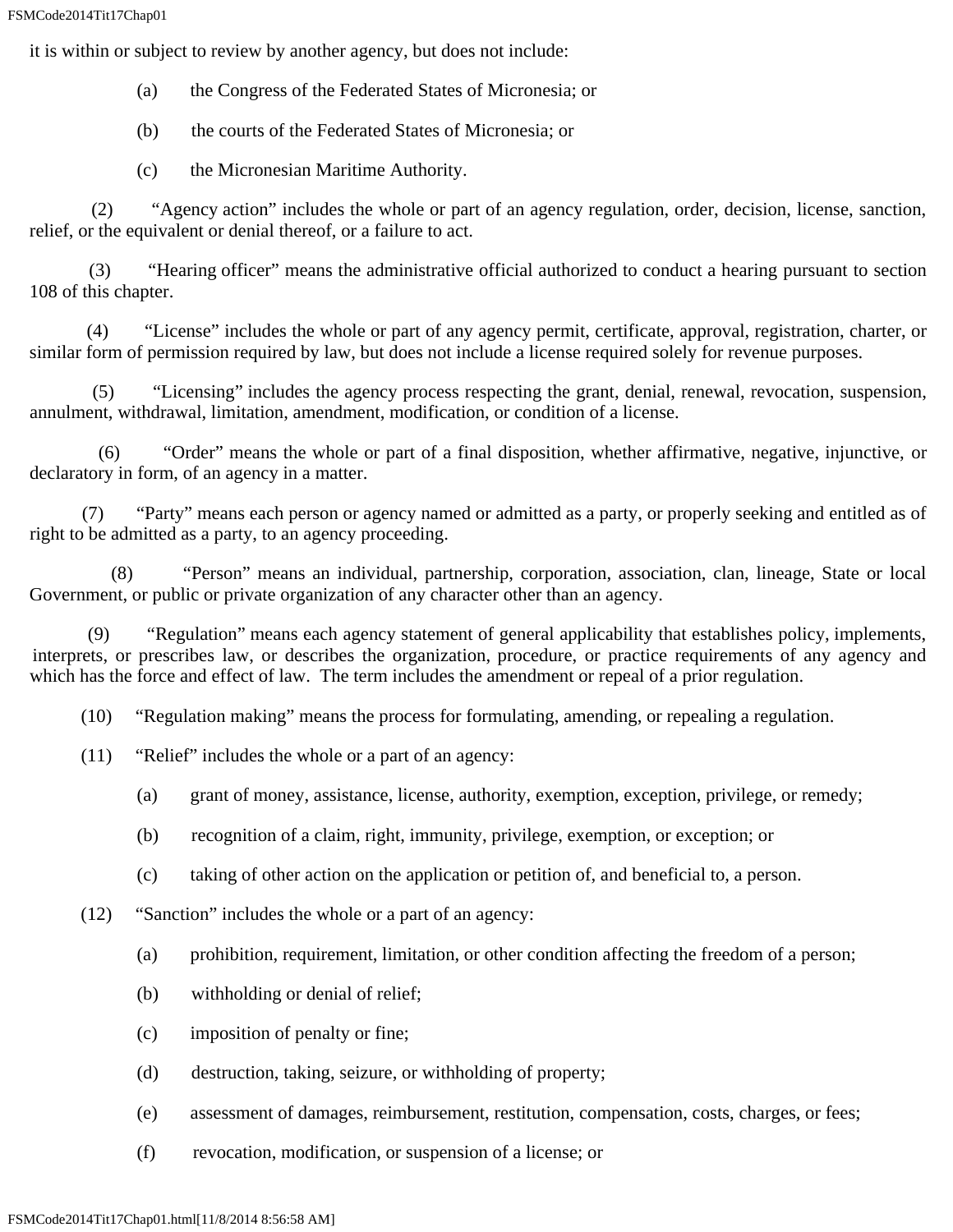it is within or subject to review by another agency, but does not include:

- (a) the Congress of the Federated States of Micronesia; or
- (b) the courts of the Federated States of Micronesia; or
- (c) the Micronesian Maritime Authority.

 (2) "Agency action" includes the whole or part of an agency regulation, order, decision, license, sanction, relief, or the equivalent or denial thereof, or a failure to act.

 (3) "Hearing officer" means the administrative official authorized to conduct a hearing pursuant to section 108 of this chapter.

 (4) "License" includes the whole or part of any agency permit, certificate, approval, registration, charter, or similar form of permission required by law, but does not include a license required solely for revenue purposes.

 (5) "Licensing" includes the agency process respecting the grant, denial, renewal, revocation, suspension, annulment, withdrawal, limitation, amendment, modification, or condition of a license.

"Order" means the whole or part of a final disposition, whether affirmative, negative, injunctive, or declaratory in form, of an agency in a matter.

 (7) "Party" means each person or agency named or admitted as a party, or properly seeking and entitled as of right to be admitted as a party, to an agency proceeding.

 (8) "Person" means an individual, partnership, corporation, association, clan, lineage, State or local Government, or public or private organization of any character other than an agency.

 (9) "Regulation" means each agency statement of general applicability that establishes policy, implements, interprets, or prescribes law, or describes the organization, procedure, or practice requirements of any agency and which has the force and effect of law. The term includes the amendment or repeal of a prior regulation.

(10) "Regulation making" means the process for formulating, amending, or repealing a regulation.

- (11) "Relief" includes the whole or a part of an agency:
	- (a) grant of money, assistance, license, authority, exemption, exception, privilege, or remedy;
	- (b) recognition of a claim, right, immunity, privilege, exemption, or exception; or
	- (c) taking of other action on the application or petition of, and beneficial to, a person.
- (12) "Sanction" includes the whole or a part of an agency:
	- (a) prohibition, requirement, limitation, or other condition affecting the freedom of a person;
	- (b) withholding or denial of relief;
	- (c) imposition of penalty or fine;
	- (d) destruction, taking, seizure, or withholding of property;
	- (e) assessment of damages, reimbursement, restitution, compensation, costs, charges, or fees;
	- (f) revocation, modification, or suspension of a license; or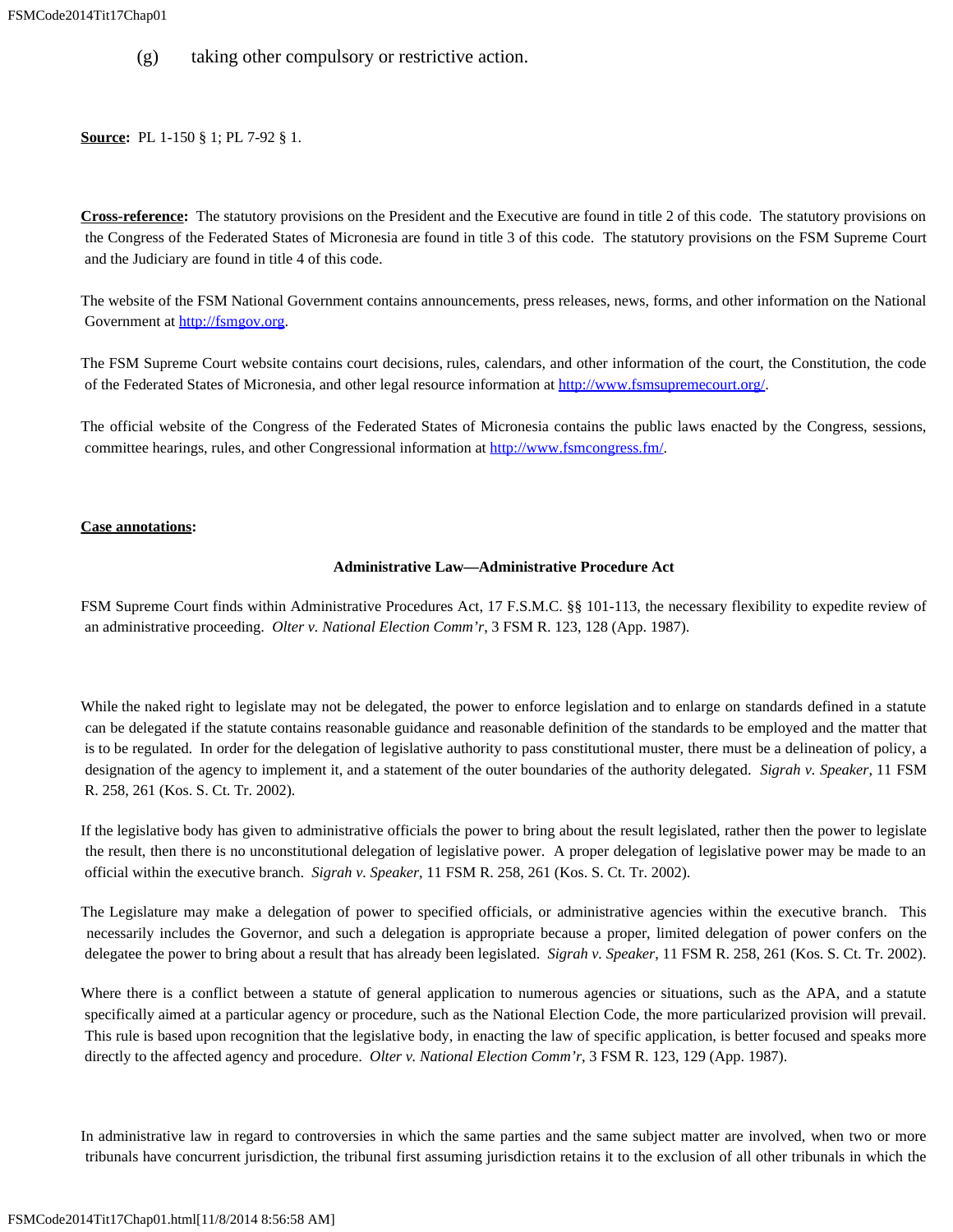(g) taking other compulsory or restrictive action.

**Source:** PL 1-150 § 1; PL 7-92 § 1.

**Cross-reference:** The statutory provisions on the President and the Executive are found in title 2 of this code. The statutory provisions on the Congress of the Federated States of Micronesia are found in title 3 of this code. The statutory provisions on the FSM Supreme Court and the Judiciary are found in title 4 of this code.

The website of the FSM National Government contains announcements, press releases, news, forms, and other information on the National Government at [http://fsmgov.org](http://fsmgov.org/).

The FSM Supreme Court website contains court decisions, rules, calendars, and other information of the court, the Constitution, the code of the Federated States of Micronesia, and other legal resource information at<http://www.fsmsupremecourt.org/>.

The official website of the Congress of the Federated States of Micronesia contains the public laws enacted by the Congress, sessions, committee hearings, rules, and other Congressional information at <http://www.fsmcongress.fm/>.

#### **Case annotations:**

#### **Administrative Law—Administrative Procedure Act**

FSM Supreme Court finds within Administrative Procedures Act, 17 F.S.M.C. §§ 101-113, the necessary flexibility to expedite review of an administrative proceeding. *Olter v. National Election Comm'r*, 3 FSM R. 123, 128 (App. 1987).

While the naked right to legislate may not be delegated, the power to enforce legislation and to enlarge on standards defined in a statute can be delegated if the statute contains reasonable guidance and reasonable definition of the standards to be employed and the matter that is to be regulated. In order for the delegation of legislative authority to pass constitutional muster, there must be a delineation of policy, a designation of the agency to implement it, and a statement of the outer boundaries of the authority delegated. *Sigrah v. Speaker*, 11 FSM R. 258, 261 (Kos. S. Ct. Tr. 2002).

If the legislative body has given to administrative officials the power to bring about the result legislated, rather then the power to legislate the result, then there is no unconstitutional delegation of legislative power. A proper delegation of legislative power may be made to an official within the executive branch. *Sigrah v. Speaker*, 11 FSM R. 258, 261 (Kos. S. Ct. Tr. 2002).

The Legislature may make a delegation of power to specified officials, or administrative agencies within the executive branch. This necessarily includes the Governor, and such a delegation is appropriate because a proper, limited delegation of power confers on the delegatee the power to bring about a result that has already been legislated. *Sigrah v. Speaker*, 11 FSM R. 258, 261 (Kos. S. Ct. Tr. 2002).

Where there is a conflict between a statute of general application to numerous agencies or situations, such as the APA, and a statute specifically aimed at a particular agency or procedure, such as the National Election Code, the more particularized provision will prevail. This rule is based upon recognition that the legislative body, in enacting the law of specific application, is better focused and speaks more directly to the affected agency and procedure. *Olter v. National Election Comm'r*, 3 FSM R. 123, 129 (App. 1987).

In administrative law in regard to controversies in which the same parties and the same subject matter are involved, when two or more tribunals have concurrent jurisdiction, the tribunal first assuming jurisdiction retains it to the exclusion of all other tribunals in which the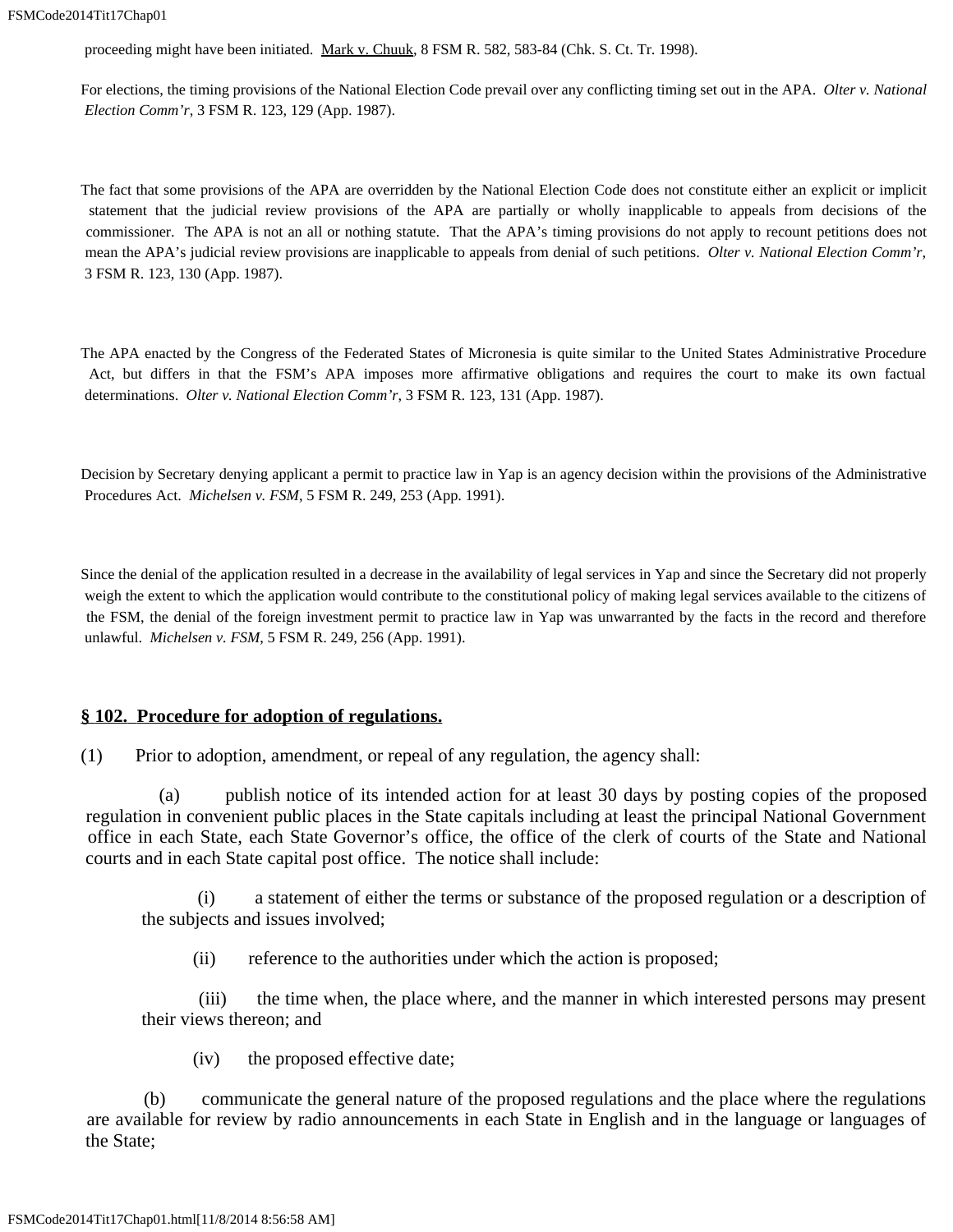proceeding might have been initiated. Mark v. Chuuk, 8 FSM R. 582, 583-84 (Chk. S. Ct. Tr. 1998).

For elections, the timing provisions of the National Election Code prevail over any conflicting timing set out in the APA. *Olter v. National Election Comm'r*, 3 FSM R. 123, 129 (App. 1987).

The fact that some provisions of the APA are overridden by the National Election Code does not constitute either an explicit or implicit statement that the judicial review provisions of the APA are partially or wholly inapplicable to appeals from decisions of the commissioner. The APA is not an all or nothing statute. That the APA's timing provisions do not apply to recount petitions does not mean the APA's judicial review provisions are inapplicable to appeals from denial of such petitions. *Olter v. National Election Comm'r*, 3 FSM R. 123, 130 (App. 1987).

The APA enacted by the Congress of the Federated States of Micronesia is quite similar to the United States Administrative Procedure Act, but differs in that the FSM's APA imposes more affirmative obligations and requires the court to make its own factual determinations. *Olter v. National Election Comm'r*, 3 FSM R. 123, 131 (App. 1987).

Decision by Secretary denying applicant a permit to practice law in Yap is an agency decision within the provisions of the Administrative Procedures Act. *Michelsen v. FSM*, 5 FSM R. 249, 253 (App. 1991).

Since the denial of the application resulted in a decrease in the availability of legal services in Yap and since the Secretary did not properly weigh the extent to which the application would contribute to the constitutional policy of making legal services available to the citizens of the FSM, the denial of the foreign investment permit to practice law in Yap was unwarranted by the facts in the record and therefore unlawful. *Michelsen v. FSM*, 5 FSM R. 249, 256 (App. 1991).

### **§ 102. Procedure for adoption of regulations.**

(1) Prior to adoption, amendment, or repeal of any regulation, the agency shall:

 (a) publish notice of its intended action for at least 30 days by posting copies of the proposed regulation in convenient public places in the State capitals including at least the principal National Government office in each State, each State Governor's office, the office of the clerk of courts of the State and National courts and in each State capital post office. The notice shall include:

 (i) a statement of either the terms or substance of the proposed regulation or a description of the subjects and issues involved;

(ii) reference to the authorities under which the action is proposed;

 (iii) the time when, the place where, and the manner in which interested persons may present their views thereon; and

(iv) the proposed effective date;

 (b) communicate the general nature of the proposed regulations and the place where the regulations are available for review by radio announcements in each State in English and in the language or languages of the State;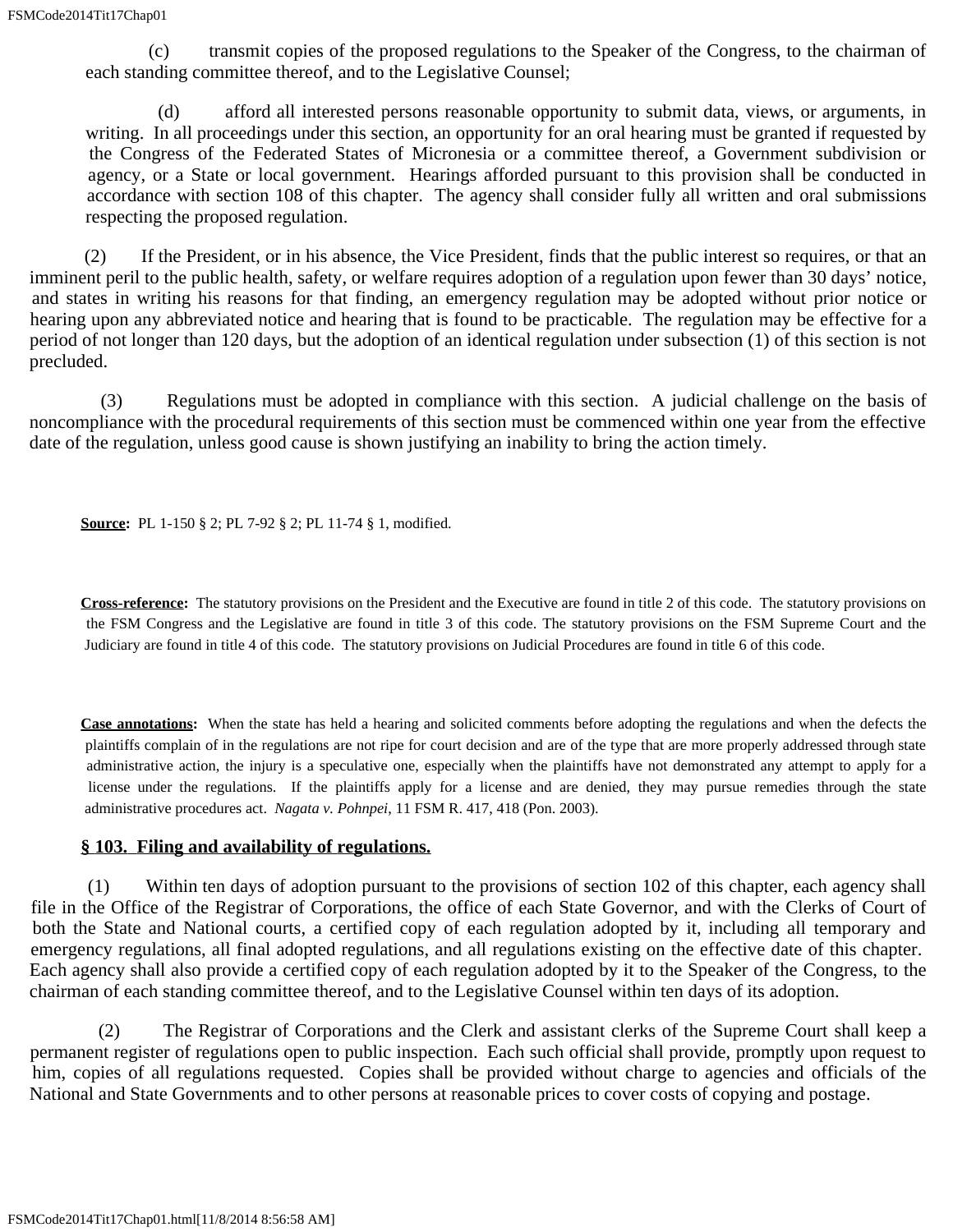(c) transmit copies of the proposed regulations to the Speaker of the Congress, to the chairman of each standing committee thereof, and to the Legislative Counsel;

 (d) afford all interested persons reasonable opportunity to submit data, views, or arguments, in writing. In all proceedings under this section, an opportunity for an oral hearing must be granted if requested by the Congress of the Federated States of Micronesia or a committee thereof, a Government subdivision or agency, or a State or local government. Hearings afforded pursuant to this provision shall be conducted in accordance with section 108 of this chapter. The agency shall consider fully all written and oral submissions respecting the proposed regulation.

 (2) If the President, or in his absence, the Vice President, finds that the public interest so requires, or that an imminent peril to the public health, safety, or welfare requires adoption of a regulation upon fewer than 30 days' notice, and states in writing his reasons for that finding, an emergency regulation may be adopted without prior notice or hearing upon any abbreviated notice and hearing that is found to be practicable. The regulation may be effective for a period of not longer than 120 days, but the adoption of an identical regulation under subsection (1) of this section is not precluded.

 (3) Regulations must be adopted in compliance with this section. A judicial challenge on the basis of noncompliance with the procedural requirements of this section must be commenced within one year from the effective date of the regulation, unless good cause is shown justifying an inability to bring the action timely.

**Source:** PL 1-150 § 2; PL 7-92 § 2; PL 11-74 § 1, modified.

**Cross-reference:** The statutory provisions on the President and the Executive are found in title 2 of this code. The statutory provisions on the FSM Congress and the Legislative are found in title 3 of this code. The statutory provisions on the FSM Supreme Court and the Judiciary are found in title 4 of this code. The statutory provisions on Judicial Procedures are found in title 6 of this code.

**Case annotations:** When the state has held a hearing and solicited comments before adopting the regulations and when the defects the plaintiffs complain of in the regulations are not ripe for court decision and are of the type that are more properly addressed through state administrative action, the injury is a speculative one, especially when the plaintiffs have not demonstrated any attempt to apply for a license under the regulations. If the plaintiffs apply for a license and are denied, they may pursue remedies through the state administrative procedures act. *Nagata v. Pohnpei*, 11 FSM R. 417, 418 (Pon. 2003).

### **§ 103. Filing and availability of regulations.**

 (1) Within ten days of adoption pursuant to the provisions of section 102 of this chapter, each agency shall file in the Office of the Registrar of Corporations, the office of each State Governor, and with the Clerks of Court of both the State and National courts, a certified copy of each regulation adopted by it, including all temporary and emergency regulations, all final adopted regulations, and all regulations existing on the effective date of this chapter. Each agency shall also provide a certified copy of each regulation adopted by it to the Speaker of the Congress, to the chairman of each standing committee thereof, and to the Legislative Counsel within ten days of its adoption.

 (2) The Registrar of Corporations and the Clerk and assistant clerks of the Supreme Court shall keep a permanent register of regulations open to public inspection. Each such official shall provide, promptly upon request to him, copies of all regulations requested. Copies shall be provided without charge to agencies and officials of the National and State Governments and to other persons at reasonable prices to cover costs of copying and postage.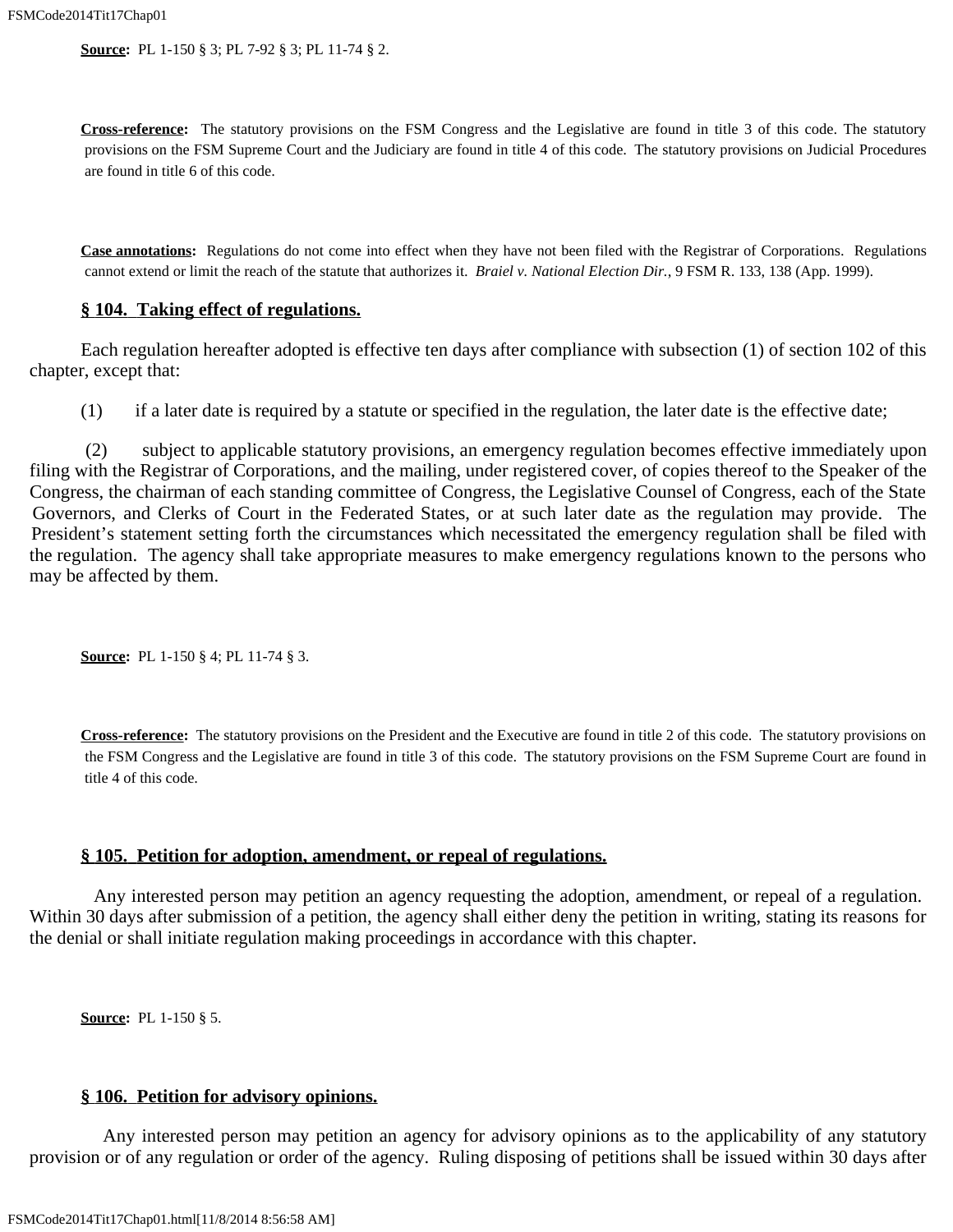**Source:** PL 1-150 § 3; PL 7-92 § 3; PL 11-74 § 2.

**Cross-reference:** The statutory provisions on the FSM Congress and the Legislative are found in title 3 of this code. The statutory provisions on the FSM Supreme Court and the Judiciary are found in title 4 of this code. The statutory provisions on Judicial Procedures are found in title 6 of this code.

**Case annotations:** Regulations do not come into effect when they have not been filed with the Registrar of Corporations. Regulations cannot extend or limit the reach of the statute that authorizes it. *Braiel v. National Election Dir.*, 9 FSM R. 133, 138 (App. 1999).

#### **§ 104. Taking effect of regulations.**

 Each regulation hereafter adopted is effective ten days after compliance with subsection (1) of section 102 of this chapter, except that:

(1) if a later date is required by a statute or specified in the regulation, the later date is the effective date;

 (2) subject to applicable statutory provisions, an emergency regulation becomes effective immediately upon filing with the Registrar of Corporations, and the mailing, under registered cover, of copies thereof to the Speaker of the Congress, the chairman of each standing committee of Congress, the Legislative Counsel of Congress, each of the State Governors, and Clerks of Court in the Federated States, or at such later date as the regulation may provide. The President's statement setting forth the circumstances which necessitated the emergency regulation shall be filed with the regulation. The agency shall take appropriate measures to make emergency regulations known to the persons who may be affected by them.

**Source:** PL 1-150 § 4; PL 11-74 § 3.

**Cross-reference:** The statutory provisions on the President and the Executive are found in title 2 of this code. The statutory provisions on the FSM Congress and the Legislative are found in title 3 of this code. The statutory provisions on the FSM Supreme Court are found in title 4 of this code.

### **§ 105. Petition for adoption, amendment, or repeal of regulations.**

 Any interested person may petition an agency requesting the adoption, amendment, or repeal of a regulation. Within 30 days after submission of a petition, the agency shall either deny the petition in writing, stating its reasons for the denial or shall initiate regulation making proceedings in accordance with this chapter.

**Source:** PL 1-150 § 5.

#### **§ 106. Petition for advisory opinions.**

 Any interested person may petition an agency for advisory opinions as to the applicability of any statutory provision or of any regulation or order of the agency. Ruling disposing of petitions shall be issued within 30 days after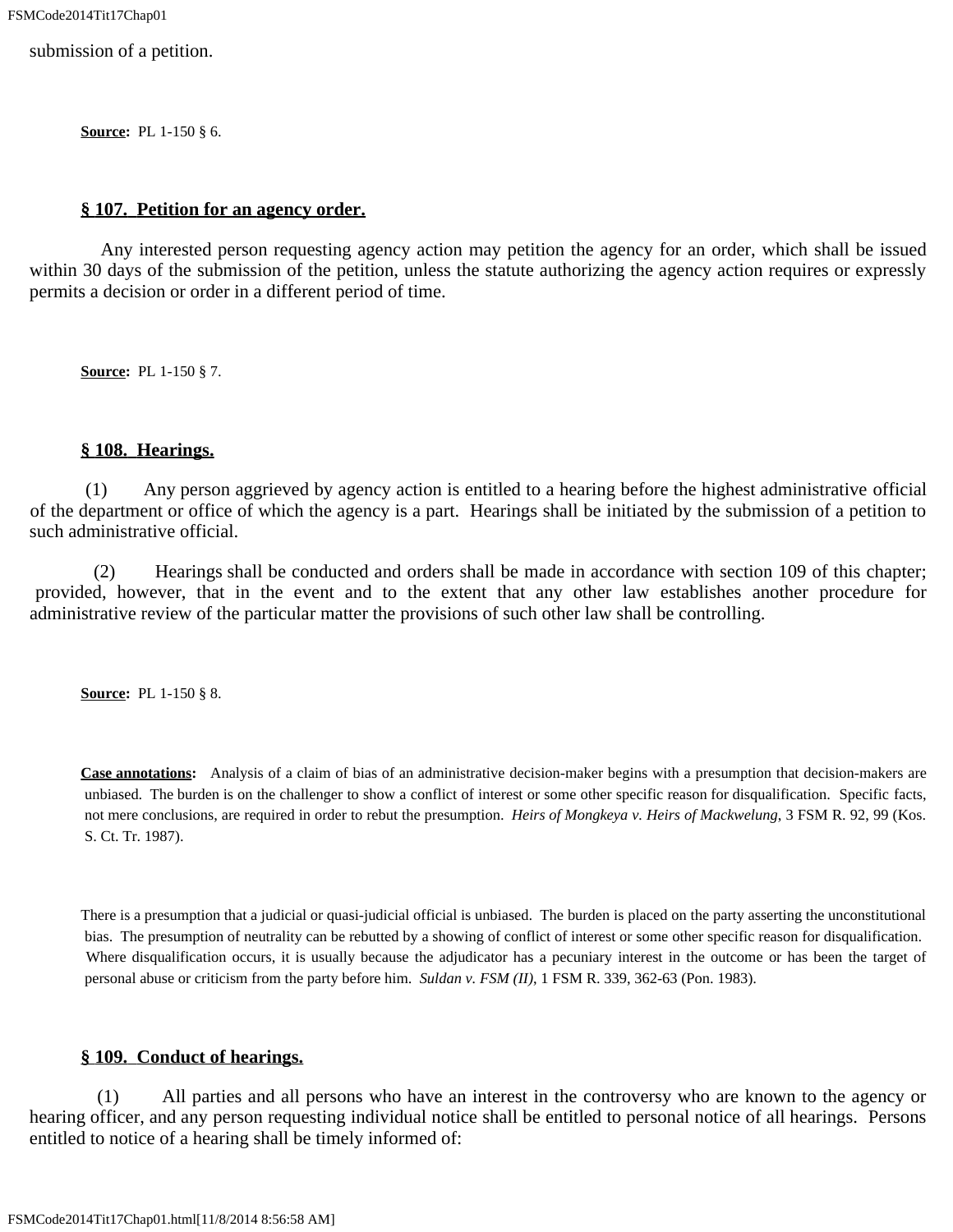submission of a petition.

**Source:** PL 1-150 § 6.

#### **§ 107. Petition for an agency order.**

 Any interested person requesting agency action may petition the agency for an order, which shall be issued within 30 days of the submission of the petition, unless the statute authorizing the agency action requires or expressly permits a decision or order in a different period of time.

**Source:** PL 1-150 § 7.

#### **§ 108. Hearings.**

 (1) Any person aggrieved by agency action is entitled to a hearing before the highest administrative official of the department or office of which the agency is a part. Hearings shall be initiated by the submission of a petition to such administrative official.

 (2) Hearings shall be conducted and orders shall be made in accordance with section 109 of this chapter; provided, however, that in the event and to the extent that any other law establishes another procedure for administrative review of the particular matter the provisions of such other law shall be controlling.

**Source:** PL 1-150 § 8.

**Case annotations:** Analysis of a claim of bias of an administrative decision-maker begins with a presumption that decision-makers are unbiased. The burden is on the challenger to show a conflict of interest or some other specific reason for disqualification. Specific facts, not mere conclusions, are required in order to rebut the presumption. *Heirs of Mongkeya v. Heirs of Mackwelung*, 3 FSM R. 92, 99 (Kos. S. Ct. Tr. 1987).

There is a presumption that a judicial or quasi-judicial official is unbiased. The burden is placed on the party asserting the unconstitutional bias. The presumption of neutrality can be rebutted by a showing of conflict of interest or some other specific reason for disqualification. Where disqualification occurs, it is usually because the adjudicator has a pecuniary interest in the outcome or has been the target of personal abuse or criticism from the party before him. *Suldan v. FSM (II)*, 1 FSM R. 339, 362-63 (Pon. 1983).

### **§ 109. Conduct of hearings.**

 (1) All parties and all persons who have an interest in the controversy who are known to the agency or hearing officer, and any person requesting individual notice shall be entitled to personal notice of all hearings. Persons entitled to notice of a hearing shall be timely informed of: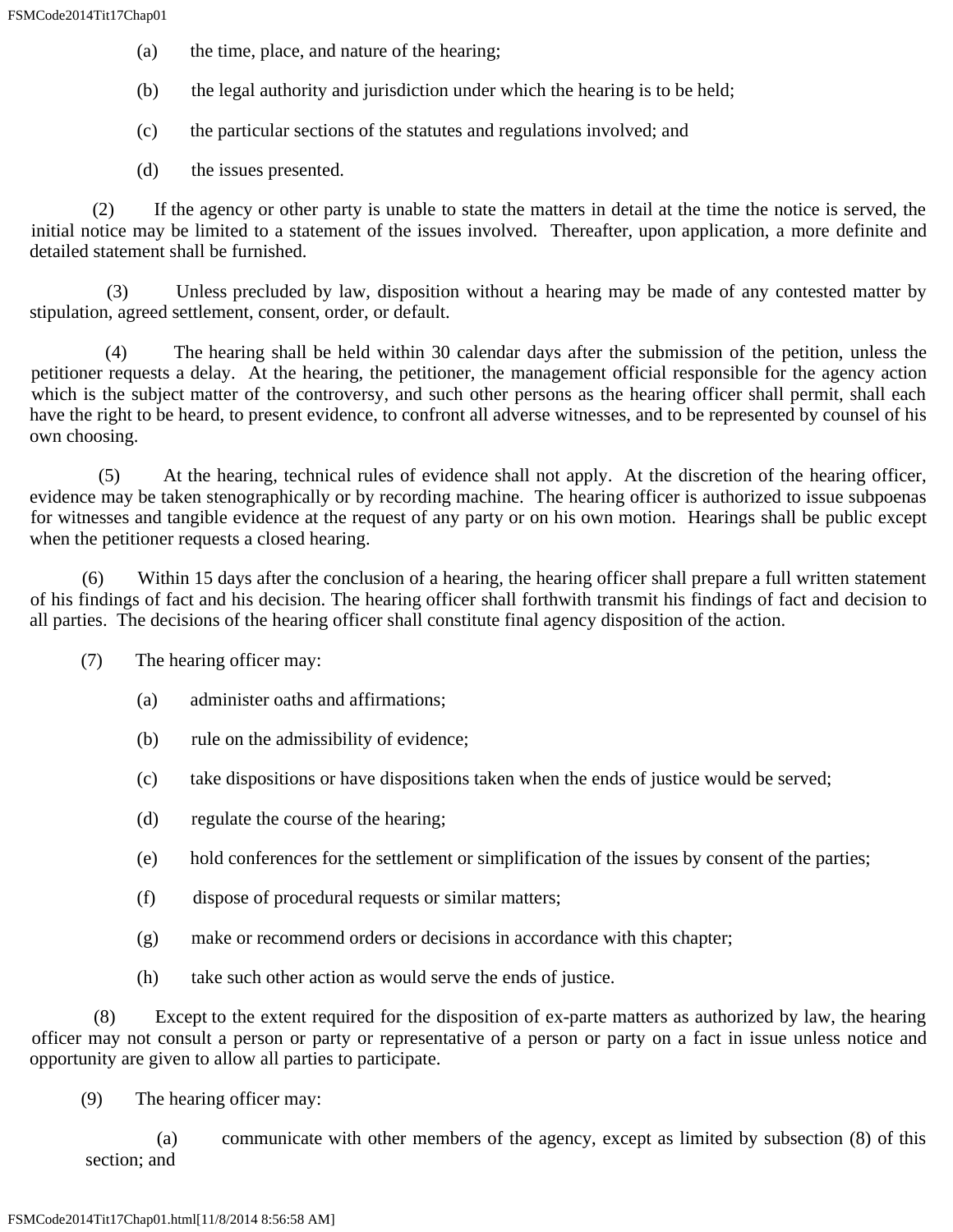- (a) the time, place, and nature of the hearing;
- (b) the legal authority and jurisdiction under which the hearing is to be held;
- (c) the particular sections of the statutes and regulations involved; and
- (d) the issues presented.

 (2) If the agency or other party is unable to state the matters in detail at the time the notice is served, the initial notice may be limited to a statement of the issues involved. Thereafter, upon application, a more definite and detailed statement shall be furnished.

Unless precluded by law, disposition without a hearing may be made of any contested matter by stipulation, agreed settlement, consent, order, or default.

 (4) The hearing shall be held within 30 calendar days after the submission of the petition, unless the petitioner requests a delay. At the hearing, the petitioner, the management official responsible for the agency action which is the subject matter of the controversy, and such other persons as the hearing officer shall permit, shall each have the right to be heard, to present evidence, to confront all adverse witnesses, and to be represented by counsel of his own choosing.

 (5) At the hearing, technical rules of evidence shall not apply. At the discretion of the hearing officer, evidence may be taken stenographically or by recording machine. The hearing officer is authorized to issue subpoenas for witnesses and tangible evidence at the request of any party or on his own motion. Hearings shall be public except when the petitioner requests a closed hearing.

 (6) Within 15 days after the conclusion of a hearing, the hearing officer shall prepare a full written statement of his findings of fact and his decision. The hearing officer shall forthwith transmit his findings of fact and decision to all parties. The decisions of the hearing officer shall constitute final agency disposition of the action.

- (7) The hearing officer may:
	- (a) administer oaths and affirmations;
	- (b) rule on the admissibility of evidence;
	- (c) take dispositions or have dispositions taken when the ends of justice would be served;
	- (d) regulate the course of the hearing;
	- (e) hold conferences for the settlement or simplification of the issues by consent of the parties;
	- (f) dispose of procedural requests or similar matters;
	- (g) make or recommend orders or decisions in accordance with this chapter;
	- (h) take such other action as would serve the ends of justice.

 (8) Except to the extent required for the disposition of ex-parte matters as authorized by law, the hearing officer may not consult a person or party or representative of a person or party on a fact in issue unless notice and opportunity are given to allow all parties to participate.

(9) The hearing officer may:

 (a) communicate with other members of the agency, except as limited by subsection (8) of this section; and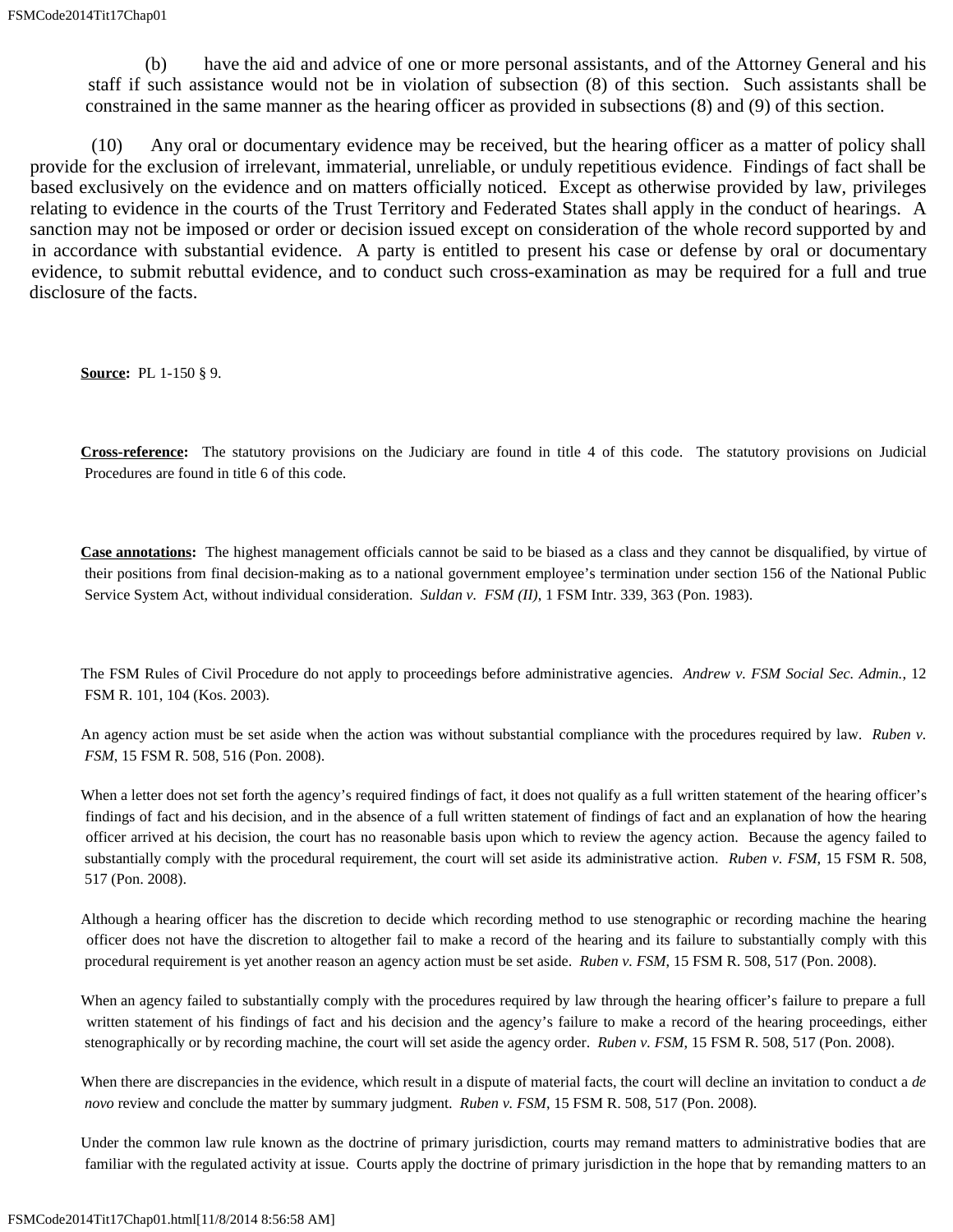(b) have the aid and advice of one or more personal assistants, and of the Attorney General and his staff if such assistance would not be in violation of subsection (8) of this section. Such assistants shall be constrained in the same manner as the hearing officer as provided in subsections (8) and (9) of this section.

 (10) Any oral or documentary evidence may be received, but the hearing officer as a matter of policy shall provide for the exclusion of irrelevant, immaterial, unreliable, or unduly repetitious evidence. Findings of fact shall be based exclusively on the evidence and on matters officially noticed. Except as otherwise provided by law, privileges relating to evidence in the courts of the Trust Territory and Federated States shall apply in the conduct of hearings. A sanction may not be imposed or order or decision issued except on consideration of the whole record supported by and in accordance with substantial evidence. A party is entitled to present his case or defense by oral or documentary evidence, to submit rebuttal evidence, and to conduct such cross-examination as may be required for a full and true disclosure of the facts.

**Source:** PL 1-150 § 9.

**Cross-reference:** The statutory provisions on the Judiciary are found in title 4 of this code. The statutory provisions on Judicial Procedures are found in title 6 of this code.

**Case annotations:** The highest management officials cannot be said to be biased as a class and they cannot be disqualified, by virtue of their positions from final decision-making as to a national government employee's termination under section 156 of the National Public Service System Act, without individual consideration. *Suldan v. FSM (II)*, 1 FSM Intr. 339, 363 (Pon. 1983).

The FSM Rules of Civil Procedure do not apply to proceedings before administrative agencies. *Andrew v. FSM Social Sec. Admin.*, 12 FSM R. 101, 104 (Kos. 2003).

An agency action must be set aside when the action was without substantial compliance with the procedures required by law. *Ruben v. FSM*, 15 FSM R. 508, 516 (Pon. 2008).

When a letter does not set forth the agency's required findings of fact, it does not qualify as a full written statement of the hearing officer's findings of fact and his decision, and in the absence of a full written statement of findings of fact and an explanation of how the hearing officer arrived at his decision, the court has no reasonable basis upon which to review the agency action. Because the agency failed to substantially comply with the procedural requirement, the court will set aside its administrative action. *Ruben v. FSM*, 15 FSM R. 508, 517 (Pon. 2008).

Although a hearing officer has the discretion to decide which recording method to use stenographic or recording machine the hearing officer does not have the discretion to altogether fail to make a record of the hearing and its failure to substantially comply with this procedural requirement is yet another reason an agency action must be set aside. *Ruben v. FSM*, 15 FSM R. 508, 517 (Pon. 2008).

When an agency failed to substantially comply with the procedures required by law through the hearing officer's failure to prepare a full written statement of his findings of fact and his decision and the agency's failure to make a record of the hearing proceedings, either stenographically or by recording machine, the court will set aside the agency order. *Ruben v. FSM*, 15 FSM R. 508, 517 (Pon. 2008).

When there are discrepancies in the evidence, which result in a dispute of material facts, the court will decline an invitation to conduct a *de novo* review and conclude the matter by summary judgment. *Ruben v. FSM*, 15 FSM R. 508, 517 (Pon. 2008).

Under the common law rule known as the doctrine of primary jurisdiction, courts may remand matters to administrative bodies that are familiar with the regulated activity at issue. Courts apply the doctrine of primary jurisdiction in the hope that by remanding matters to an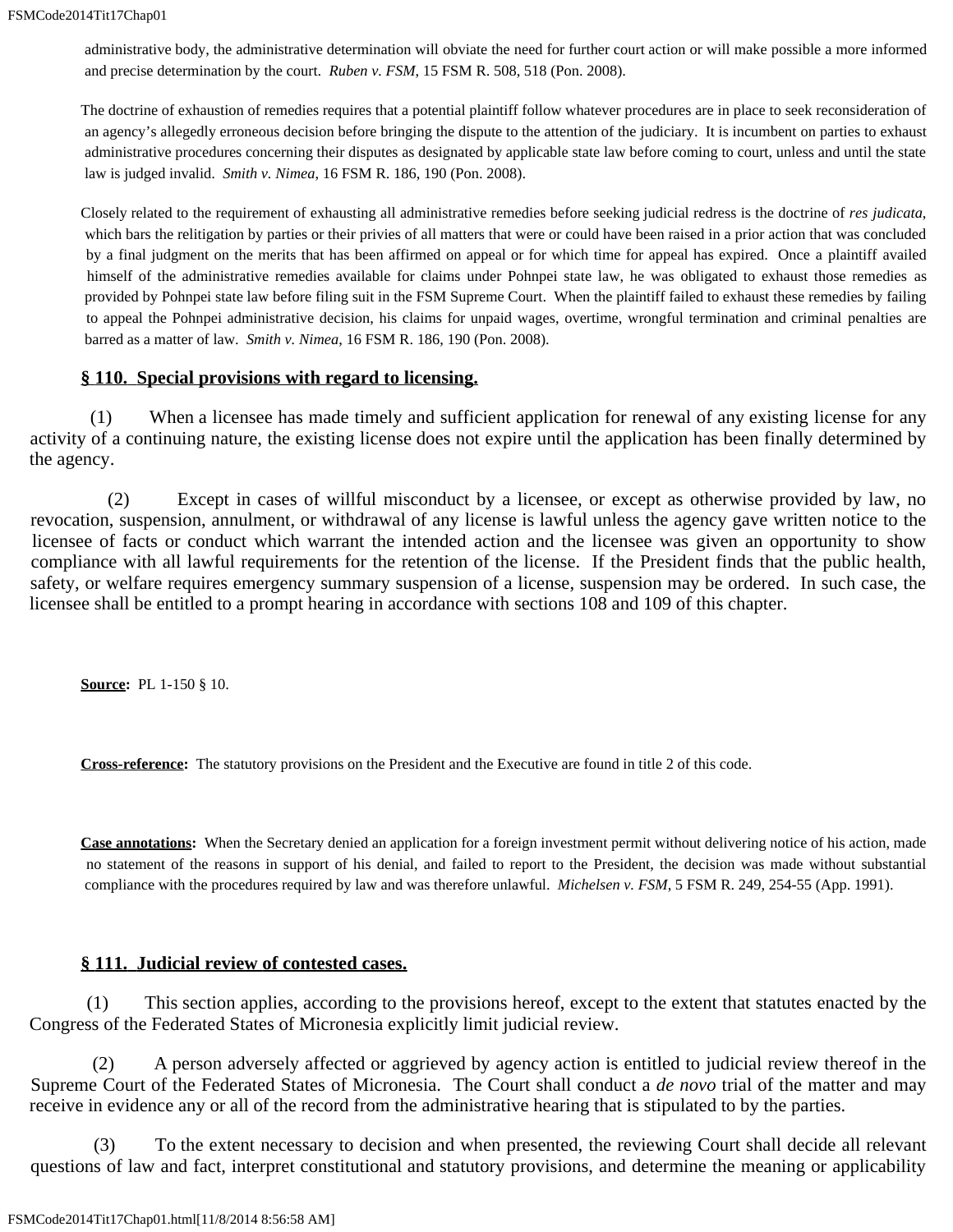administrative body, the administrative determination will obviate the need for further court action or will make possible a more informed and precise determination by the court. *Ruben v. FSM*, 15 FSM R. 508, 518 (Pon. 2008).

The doctrine of exhaustion of remedies requires that a potential plaintiff follow whatever procedures are in place to seek reconsideration of an agency's allegedly erroneous decision before bringing the dispute to the attention of the judiciary. It is incumbent on parties to exhaust administrative procedures concerning their disputes as designated by applicable state law before coming to court, unless and until the state law is judged invalid. *Smith v. Nimea*, 16 FSM R. 186, 190 (Pon. 2008).

Closely related to the requirement of exhausting all administrative remedies before seeking judicial redress is the doctrine of *res judicata*, which bars the relitigation by parties or their privies of all matters that were or could have been raised in a prior action that was concluded by a final judgment on the merits that has been affirmed on appeal or for which time for appeal has expired. Once a plaintiff availed himself of the administrative remedies available for claims under Pohnpei state law, he was obligated to exhaust those remedies as provided by Pohnpei state law before filing suit in the FSM Supreme Court. When the plaintiff failed to exhaust these remedies by failing to appeal the Pohnpei administrative decision, his claims for unpaid wages, overtime, wrongful termination and criminal penalties are barred as a matter of law. *Smith v. Nimea*, 16 FSM R. 186, 190 (Pon. 2008).

### **§ 110. Special provisions with regard to licensing.**

 (1) When a licensee has made timely and sufficient application for renewal of any existing license for any activity of a continuing nature, the existing license does not expire until the application has been finally determined by the agency.

 (2) Except in cases of willful misconduct by a licensee, or except as otherwise provided by law, no revocation, suspension, annulment, or withdrawal of any license is lawful unless the agency gave written notice to the licensee of facts or conduct which warrant the intended action and the licensee was given an opportunity to show compliance with all lawful requirements for the retention of the license. If the President finds that the public health, safety, or welfare requires emergency summary suspension of a license, suspension may be ordered. In such case, the licensee shall be entitled to a prompt hearing in accordance with sections 108 and 109 of this chapter.

**Source:** PL 1-150 § 10.

**Cross-reference:** The statutory provisions on the President and the Executive are found in title 2 of this code.

**Case annotations:** When the Secretary denied an application for a foreign investment permit without delivering notice of his action, made no statement of the reasons in support of his denial, and failed to report to the President, the decision was made without substantial compliance with the procedures required by law and was therefore unlawful. *Michelsen v. FSM*, 5 FSM R. 249, 254-55 (App. 1991).

#### **§ 111. Judicial review of contested cases.**

 (1) This section applies, according to the provisions hereof, except to the extent that statutes enacted by the Congress of the Federated States of Micronesia explicitly limit judicial review.

 (2) A person adversely affected or aggrieved by agency action is entitled to judicial review thereof in the Supreme Court of the Federated States of Micronesia. The Court shall conduct a *de novo* trial of the matter and may receive in evidence any or all of the record from the administrative hearing that is stipulated to by the parties.

 (3) To the extent necessary to decision and when presented, the reviewing Court shall decide all relevant questions of law and fact, interpret constitutional and statutory provisions, and determine the meaning or applicability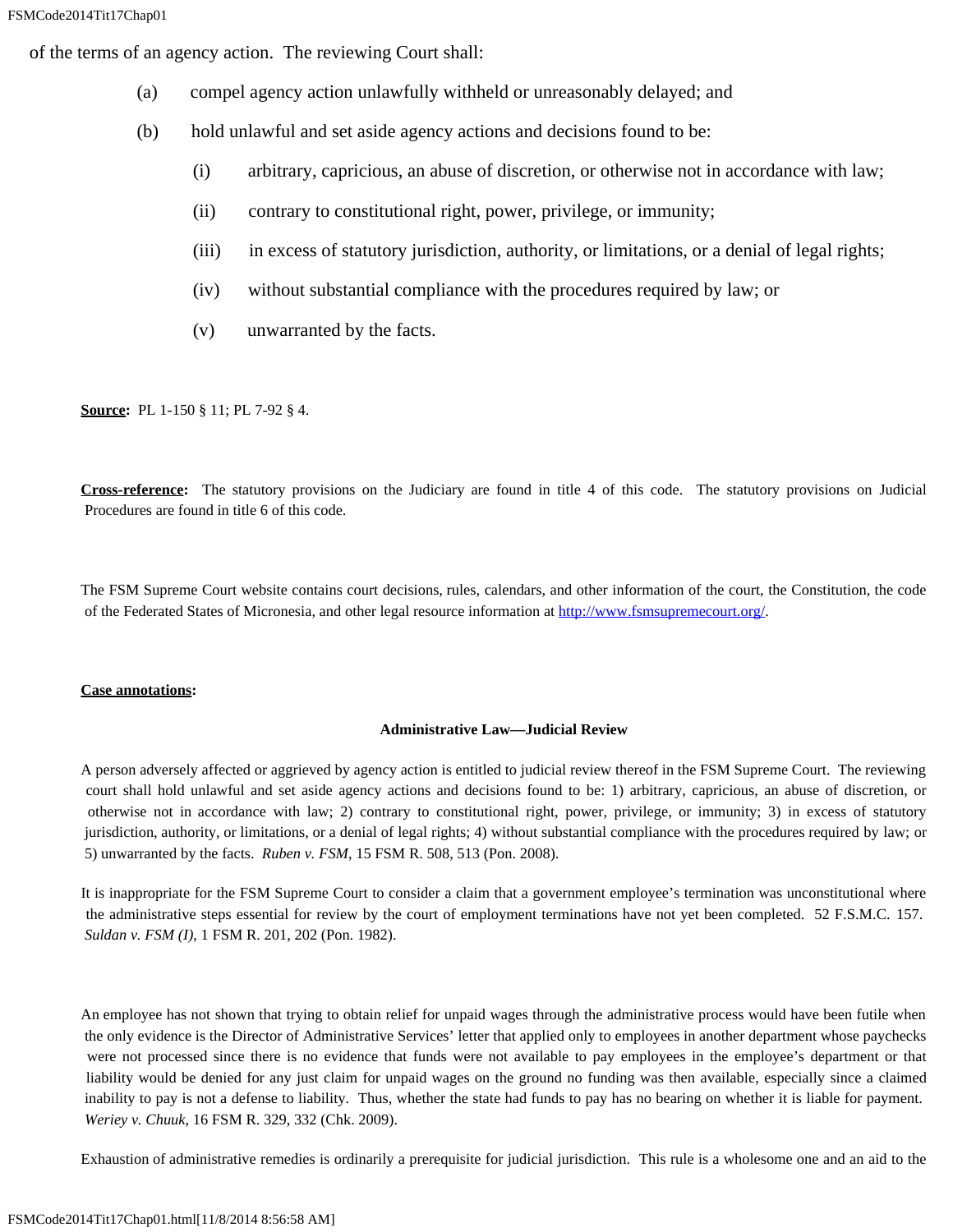of the terms of an agency action. The reviewing Court shall:

- (a) compel agency action unlawfully withheld or unreasonably delayed; and
- (b) hold unlawful and set aside agency actions and decisions found to be:
	- (i) arbitrary, capricious, an abuse of discretion, or otherwise not in accordance with law;
	- (ii) contrary to constitutional right, power, privilege, or immunity;
	- (iii) in excess of statutory jurisdiction, authority, or limitations, or a denial of legal rights;
	- (iv) without substantial compliance with the procedures required by law; or
	- (v) unwarranted by the facts.

**Source:** PL 1-150 § 11; PL 7-92 § 4.

**Cross-reference:** The statutory provisions on the Judiciary are found in title 4 of this code. The statutory provisions on Judicial Procedures are found in title 6 of this code.

The FSM Supreme Court website contains court decisions, rules, calendars, and other information of the court, the Constitution, the code of the Federated States of Micronesia, and other legal resource information at<http://www.fsmsupremecourt.org/>.

#### **Case annotations:**

#### **Administrative Law—Judicial Review**

A person adversely affected or aggrieved by agency action is entitled to judicial review thereof in the FSM Supreme Court. The reviewing court shall hold unlawful and set aside agency actions and decisions found to be: 1) arbitrary, capricious, an abuse of discretion, or otherwise not in accordance with law; 2) contrary to constitutional right, power, privilege, or immunity; 3) in excess of statutory jurisdiction, authority, or limitations, or a denial of legal rights; 4) without substantial compliance with the procedures required by law; or 5) unwarranted by the facts. *Ruben v. FSM*, 15 FSM R. 508, 513 (Pon. 2008).

It is inappropriate for the FSM Supreme Court to consider a claim that a government employee's termination was unconstitutional where the administrative steps essential for review by the court of employment terminations have not yet been completed. 52 F.S.M.C. 157. *Suldan v. FSM (I)*, 1 FSM R. 201, 202 (Pon. 1982).

An employee has not shown that trying to obtain relief for unpaid wages through the administrative process would have been futile when the only evidence is the Director of Administrative Services' letter that applied only to employees in another department whose paychecks were not processed since there is no evidence that funds were not available to pay employees in the employee's department or that liability would be denied for any just claim for unpaid wages on the ground no funding was then available, especially since a claimed inability to pay is not a defense to liability. Thus, whether the state had funds to pay has no bearing on whether it is liable for payment. *Weriey v. Chuuk*, 16 FSM R. 329, 332 (Chk. 2009).

Exhaustion of administrative remedies is ordinarily a prerequisite for judicial jurisdiction. This rule is a wholesome one and an aid to the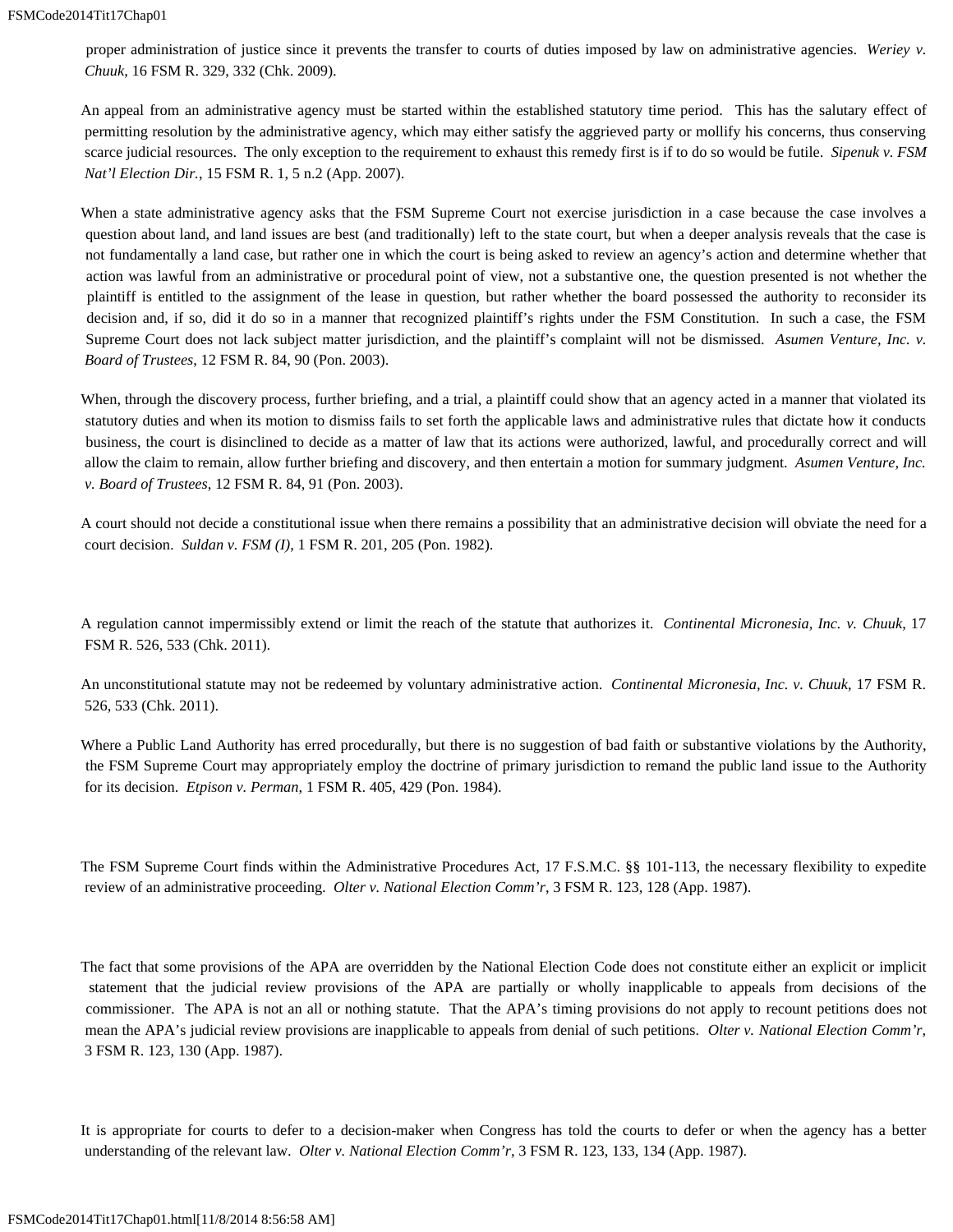proper administration of justice since it prevents the transfer to courts of duties imposed by law on administrative agencies. *Weriey v. Chuuk*, 16 FSM R. 329, 332 (Chk. 2009).

An appeal from an administrative agency must be started within the established statutory time period. This has the salutary effect of permitting resolution by the administrative agency, which may either satisfy the aggrieved party or mollify his concerns, thus conserving scarce judicial resources. The only exception to the requirement to exhaust this remedy first is if to do so would be futile. *Sipenuk v. FSM Nat'l Election Dir.*, 15 FSM R. 1, 5 n.2 (App. 2007).

When a state administrative agency asks that the FSM Supreme Court not exercise jurisdiction in a case because the case involves a question about land, and land issues are best (and traditionally) left to the state court, but when a deeper analysis reveals that the case is not fundamentally a land case, but rather one in which the court is being asked to review an agency's action and determine whether that action was lawful from an administrative or procedural point of view, not a substantive one, the question presented is not whether the plaintiff is entitled to the assignment of the lease in question, but rather whether the board possessed the authority to reconsider its decision and, if so, did it do so in a manner that recognized plaintiff's rights under the FSM Constitution. In such a case, the FSM Supreme Court does not lack subject matter jurisdiction, and the plaintiff's complaint will not be dismissed. Asumen Venture, Inc. v. *Board of Trustees*, 12 FSM R. 84, 90 (Pon. 2003).

When, through the discovery process, further briefing, and a trial, a plaintiff could show that an agency acted in a manner that violated its statutory duties and when its motion to dismiss fails to set forth the applicable laws and administrative rules that dictate how it conducts business, the court is disinclined to decide as a matter of law that its actions were authorized, lawful, and procedurally correct and will allow the claim to remain, allow further briefing and discovery, and then entertain a motion for summary judgment. *Asumen Venture, Inc. v. Board of Trustees*, 12 FSM R. 84, 91 (Pon. 2003).

A court should not decide a constitutional issue when there remains a possibility that an administrative decision will obviate the need for a court decision. *Suldan v. FSM (I)*, 1 FSM R. 201, 205 (Pon. 1982).

A regulation cannot impermissibly extend or limit the reach of the statute that authorizes it. *Continental Micronesia, Inc. v. Chuuk*, 17 FSM R. 526, 533 (Chk. 2011).

An unconstitutional statute may not be redeemed by voluntary administrative action. *Continental Micronesia, Inc. v. Chuuk*, 17 FSM R. 526, 533 (Chk. 2011).

Where a Public Land Authority has erred procedurally, but there is no suggestion of bad faith or substantive violations by the Authority, the FSM Supreme Court may appropriately employ the doctrine of primary jurisdiction to remand the public land issue to the Authority for its decision. *Etpison v. Perman*, 1 FSM R. 405, 429 (Pon. 1984).

The FSM Supreme Court finds within the Administrative Procedures Act, 17 F.S.M.C. §§ 101-113, the necessary flexibility to expedite review of an administrative proceeding. *Olter v. National Election Comm'r*, 3 FSM R. 123, 128 (App. 1987).

The fact that some provisions of the APA are overridden by the National Election Code does not constitute either an explicit or implicit statement that the judicial review provisions of the APA are partially or wholly inapplicable to appeals from decisions of the commissioner. The APA is not an all or nothing statute. That the APA's timing provisions do not apply to recount petitions does not mean the APA's judicial review provisions are inapplicable to appeals from denial of such petitions. *Olter v. National Election Comm'r*, 3 FSM R. 123, 130 (App. 1987).

It is appropriate for courts to defer to a decision-maker when Congress has told the courts to defer or when the agency has a better understanding of the relevant law. *Olter v. National Election Comm'r*, 3 FSM R. 123, 133, 134 (App. 1987).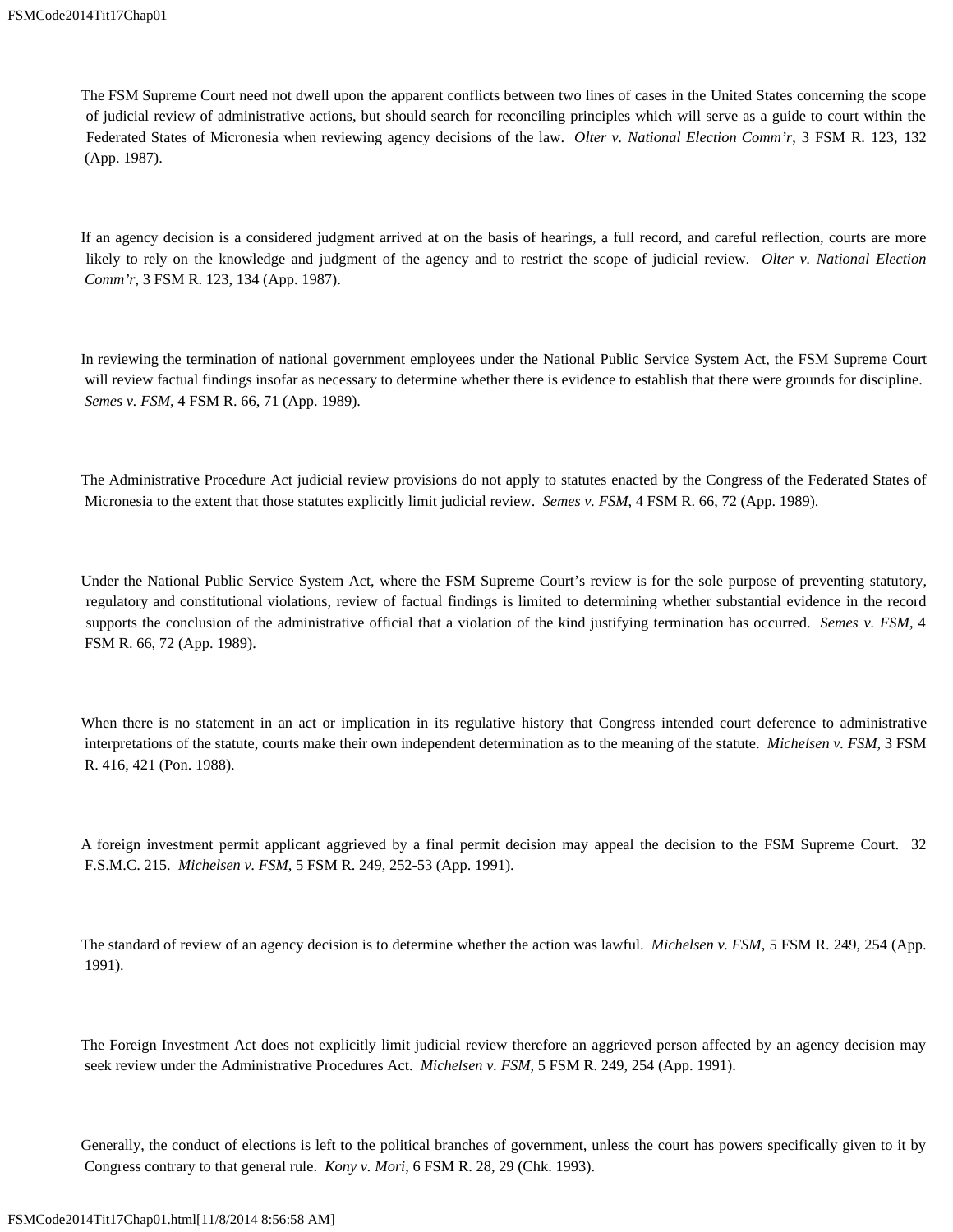The FSM Supreme Court need not dwell upon the apparent conflicts between two lines of cases in the United States concerning the scope of judicial review of administrative actions, but should search for reconciling principles which will serve as a guide to court within the Federated States of Micronesia when reviewing agency decisions of the law. *Olter v. National Election Comm'r*, 3 FSM R. 123, 132 (App. 1987).

If an agency decision is a considered judgment arrived at on the basis of hearings, a full record, and careful reflection, courts are more likely to rely on the knowledge and judgment of the agency and to restrict the scope of judicial review. *Olter v. National Election Comm'r*, 3 FSM R. 123, 134 (App. 1987).

In reviewing the termination of national government employees under the National Public Service System Act, the FSM Supreme Court will review factual findings insofar as necessary to determine whether there is evidence to establish that there were grounds for discipline. *Semes v. FSM*, 4 FSM R. 66, 71 (App. 1989).

The Administrative Procedure Act judicial review provisions do not apply to statutes enacted by the Congress of the Federated States of Micronesia to the extent that those statutes explicitly limit judicial review. *Semes v. FSM*, 4 FSM R. 66, 72 (App. 1989).

Under the National Public Service System Act, where the FSM Supreme Court's review is for the sole purpose of preventing statutory, regulatory and constitutional violations, review of factual findings is limited to determining whether substantial evidence in the record supports the conclusion of the administrative official that a violation of the kind justifying termination has occurred. *Semes v. FSM*, 4 FSM R. 66, 72 (App. 1989).

When there is no statement in an act or implication in its regulative history that Congress intended court deference to administrative interpretations of the statute, courts make their own independent determination as to the meaning of the statute. *Michelsen v. FSM*, 3 FSM R. 416, 421 (Pon. 1988).

A foreign investment permit applicant aggrieved by a final permit decision may appeal the decision to the FSM Supreme Court. 32 F.S.M.C. 215. *Michelsen v. FSM*, 5 FSM R. 249, 252-53 (App. 1991).

The standard of review of an agency decision is to determine whether the action was lawful. *Michelsen v. FSM*, 5 FSM R. 249, 254 (App. 1991).

The Foreign Investment Act does not explicitly limit judicial review therefore an aggrieved person affected by an agency decision may seek review under the Administrative Procedures Act. *Michelsen v. FSM*, 5 FSM R. 249, 254 (App. 1991).

Generally, the conduct of elections is left to the political branches of government, unless the court has powers specifically given to it by Congress contrary to that general rule. *Kony v. Mori*, 6 FSM R. 28, 29 (Chk. 1993).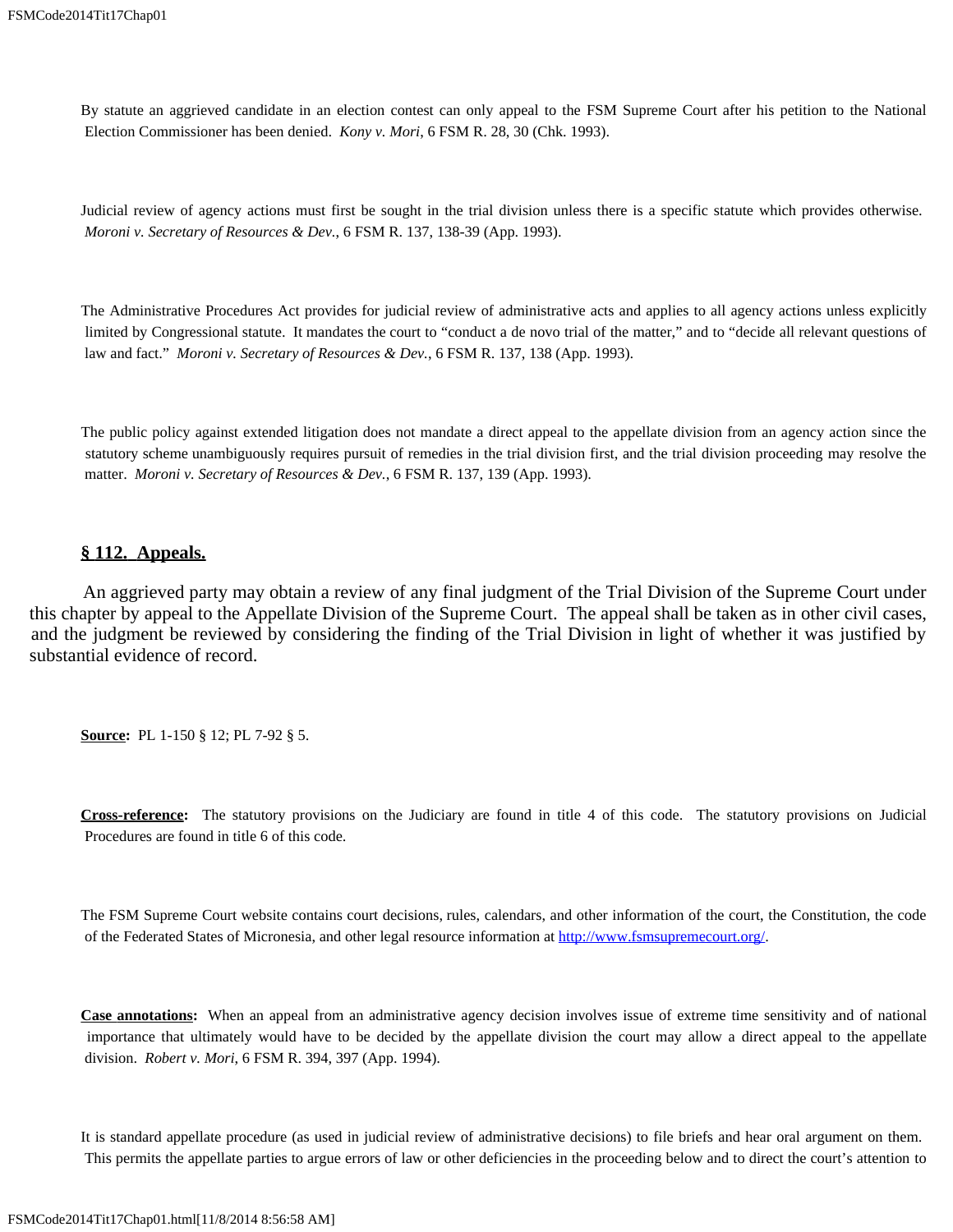By statute an aggrieved candidate in an election contest can only appeal to the FSM Supreme Court after his petition to the National Election Commissioner has been denied. *Kony v. Mori*, 6 FSM R. 28, 30 (Chk. 1993).

Judicial review of agency actions must first be sought in the trial division unless there is a specific statute which provides otherwise. *Moroni v. Secretary of Resources & Dev.*, 6 FSM R. 137, 138-39 (App. 1993).

The Administrative Procedures Act provides for judicial review of administrative acts and applies to all agency actions unless explicitly limited by Congressional statute. It mandates the court to "conduct a de novo trial of the matter," and to "decide all relevant questions of law and fact." *Moroni v. Secretary of Resources & Dev.*, 6 FSM R. 137, 138 (App. 1993).

The public policy against extended litigation does not mandate a direct appeal to the appellate division from an agency action since the statutory scheme unambiguously requires pursuit of remedies in the trial division first, and the trial division proceeding may resolve the matter. *Moroni v. Secretary of Resources & Dev.*, 6 FSM R. 137, 139 (App. 1993).

#### **§ 112. Appeals.**

 An aggrieved party may obtain a review of any final judgment of the Trial Division of the Supreme Court under this chapter by appeal to the Appellate Division of the Supreme Court. The appeal shall be taken as in other civil cases, and the judgment be reviewed by considering the finding of the Trial Division in light of whether it was justified by substantial evidence of record.

**Source:** PL 1-150 § 12; PL 7-92 § 5.

**Cross-reference:** The statutory provisions on the Judiciary are found in title 4 of this code. The statutory provisions on Judicial Procedures are found in title 6 of this code.

The FSM Supreme Court website contains court decisions, rules, calendars, and other information of the court, the Constitution, the code of the Federated States of Micronesia, and other legal resource information at<http://www.fsmsupremecourt.org/>.

**Case annotations:** When an appeal from an administrative agency decision involves issue of extreme time sensitivity and of national importance that ultimately would have to be decided by the appellate division the court may allow a direct appeal to the appellate division. *Robert v. Mori*, 6 FSM R. 394, 397 (App. 1994).

It is standard appellate procedure (as used in judicial review of administrative decisions) to file briefs and hear oral argument on them. This permits the appellate parties to argue errors of law or other deficiencies in the proceeding below and to direct the court's attention to